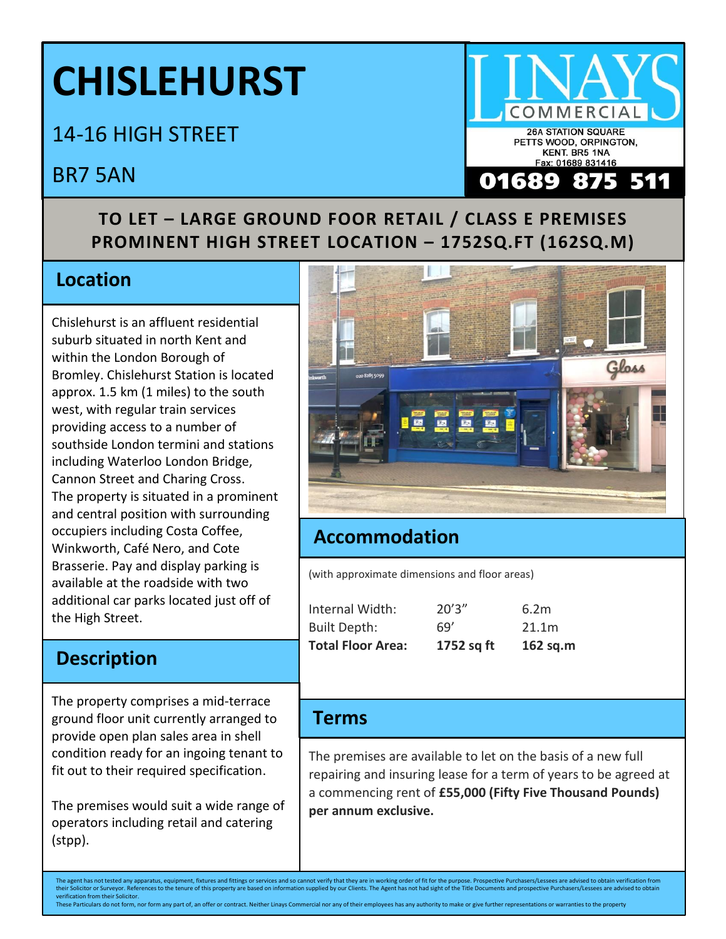# **CHISLEHURST**

14-16 HIGH STREET

# BR7 5AN

## **TO LET – LARGE GROUND FOOR RETAIL / CLASS E PREMISES PROMINENT HIGH STREET LOCATION – 1752SQ.FT (162SQ.M)**

# **Location**

Chislehurst is an affluent residential suburb situated in north Kent and within the London Borough of Bromley. Chislehurst Station is located approx. 1.5 km (1 miles) to the south west, with regular train services providing access to a number of southside London termini and stations including Waterloo London Bridge, Cannon Street and Charing Cross. The property is situated in a prominent and central position with surrounding occupiers including Costa Coffee, Winkworth, Café Nero, and Cote Brasserie. Pay and display parking is available at the roadside with two additional car parks located just off of the High Street.

## **Description**

The property comprises a mid-terrace ground floor unit currently arranged to provide open plan sales area in shell condition ready for an ingoing tenant to fit out to their required specification.

The premises would suit a wide range of operators including retail and catering (stpp).



## **Accommodation**

(with approximate dimensions and floor areas)

| <b>Total Floor Area:</b> | 1752 sq ft | 162 $sq.m$ |
|--------------------------|------------|------------|
| <b>Built Depth:</b>      | 69′        | 21.1m      |
| Internal Width:          | 20'3''     | 6.2m       |

#### **Terms**

The premises are available to let on the basis of a new full repairing and insuring lease for a term of years to be agreed at a commencing rent of **£55,000 (Fifty Five Thousand Pounds) per annum exclusive.** 

The agent has not tested any apparatus, equipment, fixtures and fittings or services and so cannot verify that they are in working order of fit for the purpose. Prospective Purchasers/Lessees are advised to obtain verifica their Solicitor or Surveyor. References to the tenure of this property are based on information supplied by our Clients. The Agent has not had sight of the Title Documents and prospective Purchasers/Lessees are advised to verification from their Solicitor. These Particulars do not form, nor form any part of, an offer or contract. Neither Linays Commercial nor any of their employees has any authority to make or give further representations or warranties to the property



Fax: 01689 831416

Q

875

511